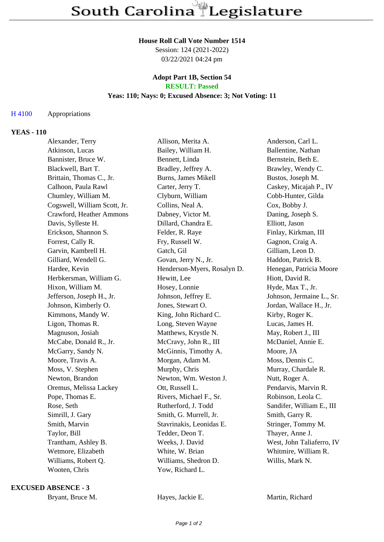#### **House Roll Call Vote Number 1514**

Session: 124 (2021-2022) 03/22/2021 04:24 pm

#### **Adopt Part 1B, Section 54 RESULT: Passed**

# **Yeas: 110; Nays: 0; Excused Absence: 3; Not Voting: 11**

## H 4100 Appropriations

### **YEAS - 110**

| Alexander, Terry             | Allison, Merita A.          | Anderson, Carl L.         |
|------------------------------|-----------------------------|---------------------------|
| Atkinson, Lucas              | Bailey, William H.          | Ballentine, Nathan        |
| Bannister, Bruce W.          | Bennett, Linda              | Bernstein, Beth E.        |
| Blackwell, Bart T.           | Bradley, Jeffrey A.         | Brawley, Wendy C.         |
| Brittain, Thomas C., Jr.     | Burns, James Mikell         | Bustos, Joseph M.         |
| Calhoon, Paula Rawl          | Carter, Jerry T.            | Caskey, Micajah P., IV    |
| Chumley, William M.          | Clyburn, William            | Cobb-Hunter, Gilda        |
| Cogswell, William Scott, Jr. | Collins, Neal A.            | Cox, Bobby J.             |
| Crawford, Heather Ammons     | Dabney, Victor M.           | Daning, Joseph S.         |
| Davis, Sylleste H.           | Dillard, Chandra E.         | Elliott, Jason            |
| Erickson, Shannon S.         | Felder, R. Raye             | Finlay, Kirkman, III      |
| Forrest, Cally R.            | Fry, Russell W.             | Gagnon, Craig A.          |
| Garvin, Kambrell H.          | Gatch, Gil                  | Gilliam, Leon D.          |
| Gilliard, Wendell G.         | Govan, Jerry N., Jr.        | Haddon, Patrick B.        |
| Hardee, Kevin                | Henderson-Myers, Rosalyn D. | Henegan, Patricia Moore   |
| Herbkersman, William G.      | Hewitt, Lee                 | Hiott, David R.           |
| Hixon, William M.            | Hosey, Lonnie               | Hyde, Max T., Jr.         |
| Jefferson, Joseph H., Jr.    | Johnson, Jeffrey E.         | Johnson, Jermaine L., Sr. |
| Johnson, Kimberly O.         | Jones, Stewart O.           | Jordan, Wallace H., Jr.   |
| Kimmons, Mandy W.            | King, John Richard C.       | Kirby, Roger K.           |
| Ligon, Thomas R.             | Long, Steven Wayne          | Lucas, James H.           |
| Magnuson, Josiah             | Matthews, Krystle N.        | May, Robert J., III       |
| McCabe, Donald R., Jr.       | McCravy, John R., III       | McDaniel, Annie E.        |
| McGarry, Sandy N.            | McGinnis, Timothy A.        | Moore, JA                 |
| Moore, Travis A.             | Morgan, Adam M.             | Moss, Dennis C.           |
| Moss, V. Stephen             | Murphy, Chris               | Murray, Chardale R.       |
| Newton, Brandon              | Newton, Wm. Weston J.       | Nutt, Roger A.            |
| Oremus, Melissa Lackey       | Ott, Russell L.             | Pendarvis, Marvin R.      |
| Pope, Thomas E.              | Rivers, Michael F., Sr.     | Robinson, Leola C.        |
| Rose, Seth                   | Rutherford, J. Todd         | Sandifer, William E., III |
| Simrill, J. Gary             | Smith, G. Murrell, Jr.      | Smith, Garry R.           |
| Smith, Marvin                | Stavrinakis, Leonidas E.    | Stringer, Tommy M.        |
| Taylor, Bill                 | Tedder, Deon T.             | Thayer, Anne J.           |
| Trantham, Ashley B.          | Weeks, J. David             | West, John Taliaferro, IV |
| Wetmore, Elizabeth           | White, W. Brian             | Whitmire, William R.      |
| Williams, Robert Q.          | Williams, Shedron D.        | Willis, Mark N.           |
| Wooten, Chris                | Yow, Richard L.             |                           |
|                              |                             |                           |

**EXCUSED ABSENCE - 3**

Bryant, Bruce M. **Hayes, Jackie E.** Martin, Richard